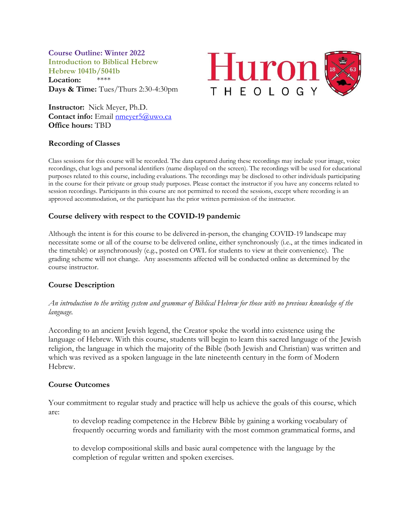**Course Outline: Winter 2022 Introduction to Biblical Hebrew Hebrew 1041b/5041b**

**Location:** \*\*\*\* **Days & Time:** Tues/Thurs 2:30-4:30pm **Huron** THEOLOG

**Instructor:** Nick Meyer, Ph.D. **Contact info:** Email [nmeyer5@uwo.ca](mailto:nmeyer5@uwo.ca) **Office hours:** TBD

## **Recording of Classes**

Class sessions for this course will be recorded. The data captured during these recordings may include your image, voice recordings, chat logs and personal identifiers (name displayed on the screen). The recordings will be used for educational purposes related to this course, including evaluations. The recordings may be disclosed to other individuals participating in the course for their private or group study purposes. Please contact the instructor if you have any concerns related to session recordings. Participants in this course are not permitted to record the sessions, except where recording is an approved accommodation, or the participant has the prior written permission of the instructor.

# **Course delivery with respect to the COVID-19 pandemic**

Although the intent is for this course to be delivered in-person, the changing COVID-19 landscape may necessitate some or all of the course to be delivered online, either synchronously (i.e., at the times indicated in the timetable) or asynchronously (e.g., posted on OWL for students to view at their convenience). The grading scheme will not change. Any assessments affected will be conducted online as determined by the course instructor.

# **Course Description**

*An introduction to the writing system and grammar of Biblical Hebrew for those with no previous knowledge of the language.*

According to an ancient Jewish legend, the Creator spoke the world into existence using the language of Hebrew. With this course, students will begin to learn this sacred language of the Jewish religion, the language in which the majority of the Bible (both Jewish and Christian) was written and which was revived as a spoken language in the late nineteenth century in the form of Modern Hebrew.

## **Course Outcomes**

Your commitment to regular study and practice will help us achieve the goals of this course, which are:

to develop reading competence in the Hebrew Bible by gaining a working vocabulary of frequently occurring words and familiarity with the most common grammatical forms, and

to develop compositional skills and basic aural competence with the language by the completion of regular written and spoken exercises.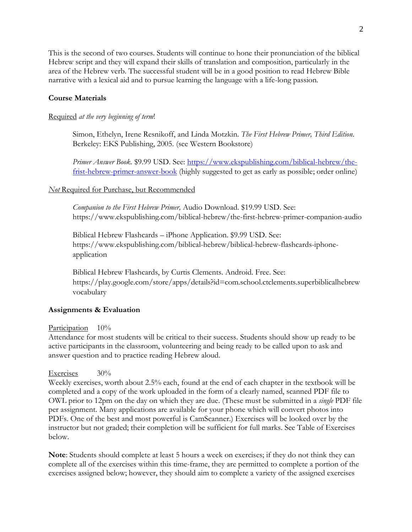This is the second of two courses. Students will continue to hone their pronunciation of the biblical Hebrew script and they will expand their skills of translation and composition, particularly in the area of the Hebrew verb. The successful student will be in a good position to read Hebrew Bible narrative with a lexical aid and to pursue learning the language with a life-long passion.

# **Course Materials**

### Required *at the very beginning of term*!

Simon, Ethelyn, Irene Resnikoff, and Linda Motzkin. *The First Hebrew Primer, Third Edition*. Berkeley: EKS Publishing, 2005. (see Western Bookstore)

*Primer Answer Book.* \$9.99 USD. See: [https://www.ekspublishing.com/biblical-hebrew/the](https://www.ekspublishing.com/biblical-hebrew/the-frist-hebrew-primer-answer-book)[frist-hebrew-primer-answer-book](https://www.ekspublishing.com/biblical-hebrew/the-frist-hebrew-primer-answer-book) (highly suggested to get as early as possible; order online)

## *Not* Required for Purchase, but Recommended

*Companion to the First Hebrew Primer,* Audio Download. \$19.99 USD. See: https://www.ekspublishing.com/biblical-hebrew/the-first-hebrew-primer-companion-audio

Biblical Hebrew Flashcards – iPhone Application. \$9.99 USD. See: https://www.ekspublishing.com/biblical-hebrew/biblical-hebrew-flashcards-iphoneapplication

Biblical Hebrew Flashcards, by Curtis Clements. Android. Free. See: https://play.google.com/store/apps/details?id=com.school.ctclements.superbiblicalhebrew vocabulary

### **Assignments & Evaluation**

### Participation  $10\%$

Attendance for most students will be critical to their success*.* Students should show up ready to be active participants in the classroom, volunteering and being ready to be called upon to ask and answer question and to practice reading Hebrew aloud.

### Exercises 30%

Weekly exercises, worth about 2.5% each, found at the end of each chapter in the textbook will be completed and a copy of the work uploaded in the form of a clearly named, scanned PDF file to OWL prior to 12pm on the day on which they are due. (These must be submitted in a *single* PDF file per assignment. Many applications are available for your phone which will convert photos into PDFs. One of the best and most powerful is CamScanner.) Exercises will be looked over by the instructor but not graded; their completion will be sufficient for full marks. See Table of Exercises below.

**Note**: Students should complete at least 5 hours a week on exercises; if they do not think they can complete all of the exercises within this time-frame, they are permitted to complete a portion of the exercises assigned below; however, they should aim to complete a variety of the assigned exercises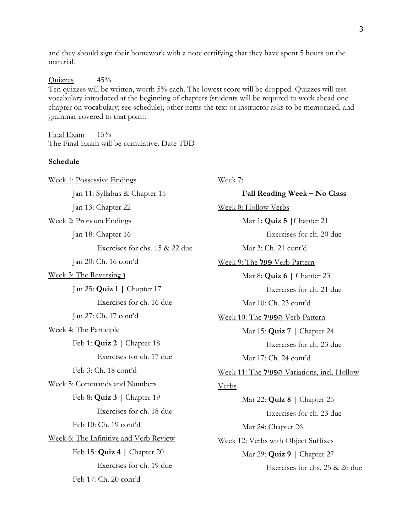and they should sign their homework with a note certifying that they have spent 5 hours on the material.

Quizzes 45%

Ten quizzes will be written, worth 5% each. The lowest score will be dropped. Quizzes will test vocabulary introduced at the beginning of chapters (students will be required to work ahead one chapter on vocabulary; see schedule), other items the text or instructor asks to be memorized, and grammar covered to that point.

Final Exam 15% The Final Exam will be cumulative. Date TBD

#### **Schedule**

| Week 1: Possessive Endings             | <u>Week 7:</u>                                        |
|----------------------------------------|-------------------------------------------------------|
| Jan 11: Syllabus & Chapter 15          | Fall Reading Week - No Class                          |
| Jan 13: Chapter 22                     | Week 8: Hollow Verbs                                  |
| Week 2: Pronoun Endings                | Mar 1: Quiz 5   Chapter 21                            |
| Jan 18: Chapter 16                     | Exercises for ch. 20 due                              |
| Exercises for chs. 15 & 22 due         | Mar 3: Ch. 21 cont'd                                  |
| Jan 20: Ch. 16 cont'd                  | <u>Week 9: The פעל Verb Pattern</u>                   |
| Week 3: The Reversing 1                | Mar 8: <b>Quiz 6</b>   Chapter 23                     |
| Jan 25: Quiz $1 \mid$ Chapter 17       | Exercises for ch. 21 due                              |
| Exercises for ch. 16 due               | Mar 10: Ch. 23 cont'd                                 |
| Jan 27: Ch. 17 cont'd                  | <u>Week 10: The הְפָעִיל Verb Pattern</u>             |
| <u>Week 4: The Participle</u>          | Mar 15: Quiz 7   Chapter 24                           |
| Feb 1: Quiz 2   Chapter 18             | Exercises for ch. 23 due                              |
| Exercises for ch. 17 due               | Mar 17: Ch. 24 cont'd                                 |
| Feb 3: Ch. 18 cont'd                   | <u>Week 11: The הְפָעִיל Variations, incl. Hollow</u> |
| Week 5: Commands and Numbers           | <b>Verbs</b>                                          |
| Feb 8: Quiz $3 \mid$ Chapter 19        | Mar 22: Quiz $8 \mid$ Chapter 25                      |
| Exercises for ch. 18 due               | Exercises for ch. 23 due                              |
| Feb 10: Ch. 19 cont'd                  | Mar 24: Chapter 26                                    |
| Week 6: The Infinitive and Verb Review | Week 12: Verbs with Object Suffixes                   |
| Feb 15: Quiz 4   Chapter 20            | Mar 29: Quiz 9   Chapter 27                           |
| Exercises for ch. 19 due               | Exercises for chs. 25 & 26 due                        |
| Feb 17: Ch. 20 cont'd                  |                                                       |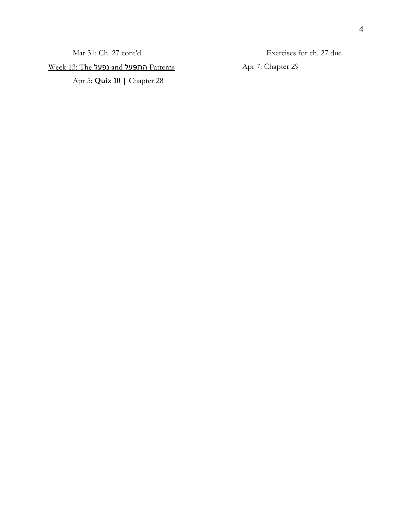Patterns הִּ תְ פַ עֵ ל and נִּ פְ עַ ל The 13: Week

Apr 5: **Quiz 10 |** Chapter 28

Exercises for ch. 27 due

Apr 7: Chapter 29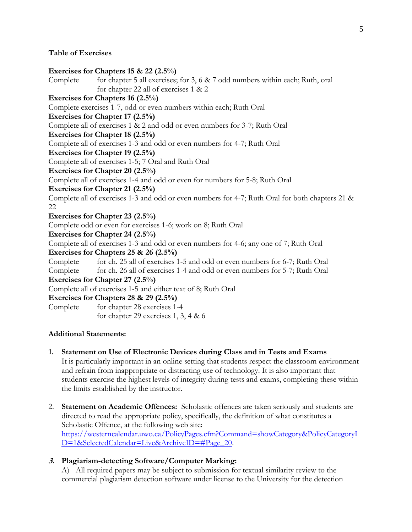### **Table of Exercises**

#### **Exercises for Chapters 15 & 22 (2.5%)**

Complete for chapter 5 all exercises; for 3, 6  $\&$  7 odd numbers within each; Ruth, oral for chapter 22 all of exercises 1 & 2 **Exercises for Chapters 16 (2.5%)** Complete exercises 1-7, odd or even numbers within each; Ruth Oral **Exercises for Chapter 17 (2.5%)**  Complete all of exercises 1 & 2 and odd or even numbers for 3-7; Ruth Oral **Exercises for Chapter 18 (2.5%)** Complete all of exercises 1-3 and odd or even numbers for 4-7; Ruth Oral **Exercises for Chapter 19 (2.5%)** Complete all of exercises 1-5; 7 Oral and Ruth Oral **Exercises for Chapter 20 (2.5%)** Complete all of exercises 1-4 and odd or even for numbers for 5-8; Ruth Oral **Exercises for Chapter 21 (2.5%)**  Complete all of exercises 1-3 and odd or even numbers for 4-7; Ruth Oral for both chapters 21 & 22 **Exercises for Chapter 23 (2.5%)** Complete odd or even for exercises 1-6; work on 8; Ruth Oral **Exercises for Chapter 24 (2.5%)** Complete all of exercises 1-3 and odd or even numbers for 4-6; any one of 7; Ruth Oral **Exercises for Chapters 25 & 26 (2.5%)** Complete for ch. 25 all of exercises 1-5 and odd or even numbers for 6-7; Ruth Oral Complete for ch. 26 all of exercises 1-4 and odd or even numbers for 5-7; Ruth Oral **Exercises for Chapter 27 (2.5%)**  Complete all of exercises 1-5 and either text of 8; Ruth Oral **Exercises for Chapters 28 & 29 (2.5%)** Complete for chapter 28 exercises 1-4 for chapter 29 exercises 1, 3, 4 & 6

### **Additional Statements:**

**1. Statement on Use of Electronic Devices during Class and in Tests and Exams** 

It is particularly important in an online setting that students respect the classroom environment and refrain from inappropriate or distracting use of technology. It is also important that students exercise the highest levels of integrity during tests and exams, completing these within the limits established by the instructor.

2. **Statement on Academic Offences:** Scholastic offences are taken seriously and students are directed to read the appropriate policy, specifically, the definition of what constitutes a Scholastic Offence, at the following web site: [https://westerncalendar.uwo.ca/PolicyPages.cfm?Command=showCategory&PolicyCategoryI](https://westerncalendar.uwo.ca/PolicyPages.cfm?Command=showCategory&PolicyCategoryID=1&SelectedCalendar=Live&ArchiveID=#Page_20) [D=1&SelectedCalendar=Live&ArchiveID=#Page\\_20.](https://westerncalendar.uwo.ca/PolicyPages.cfm?Command=showCategory&PolicyCategoryID=1&SelectedCalendar=Live&ArchiveID=#Page_20)

## **3. Plagiarism-detecting Software/Computer Marking:**

A) All required papers may be subject to submission for textual similarity review to the commercial plagiarism detection software under license to the University for the detection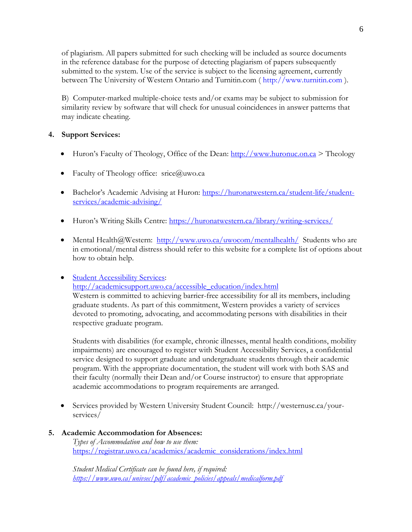of plagiarism. All papers submitted for such checking will be included as source documents in the reference database for the purpose of detecting plagiarism of papers subsequently submitted to the system. Use of the service is subject to the licensing agreement, currently between The University of Western Ontario and Turnitin.com ( http://www.turnitin.com ).

B) Computer-marked multiple-choice tests and/or exams may be subject to submission for similarity review by software that will check for unusual coincidences in answer patterns that may indicate cheating.

# **4. Support Services:**

- Huron's Faculty of Theology, Office of the Dean:  $\frac{http://www.huronuc.on.ca>}$  $\frac{http://www.huronuc.on.ca>}$  $\frac{http://www.huronuc.on.ca>}$  Theology
- Faculty of Theology office: srice@uwo.ca
- Bachelor's Academic Advising at Huron: [https://huronatwestern.ca/student-life/student](https://huronatwestern.ca/student-life/student-services/academic-advising/)[services/academic-advising/](https://huronatwestern.ca/student-life/student-services/academic-advising/)
- Huron's Writing Skills Centre: <https://huronatwestern.ca/library/writing-services/>
- Mental Health@Western: <http://www.uwo.ca/uwocom/mentalhealth/>Students who are in emotional/mental distress should refer to this website for a complete list of options about how to obtain help.

## • [Student Accessibility Services:](http://academicsupport.uwo.ca/accessible_education/index.html)

[http://academicsupport.uwo.ca/accessible\\_education/index.html](http://academicsupport.uwo.ca/accessible_education/index.html)

Western is committed to achieving barrier-free accessibility for all its members, including graduate students. As part of this commitment, Western provides a variety of services devoted to promoting, advocating, and accommodating persons with disabilities in their respective graduate program.

Students with disabilities (for example, chronic illnesses, mental health conditions, mobility impairments) are encouraged to register with Student Accessibility Services, a confidential service designed to support graduate and undergraduate students through their academic program. With the appropriate documentation, the student will work with both SAS and their faculty (normally their Dean and/or Course instructor) to ensure that appropriate academic accommodations to program requirements are arranged.

• Services provided by Western University Student Council: http://westernusc.ca/yourservices/

## **5. Academic Accommodation for Absences:**

*Types of Accommodation and how to use them:*  [https://registrar.uwo.ca/academics/academic\\_considerations/index.html](https://registrar.uwo.ca/academics/academic_considerations/index.html)

*Student Medical Certificate can be found here, if required: [https://www.uwo.ca/univsec/pdf/academic\\_policies/appeals/medicalform.pdf](https://www.uwo.ca/univsec/pdf/academic_policies/appeals/medicalform.pdf)*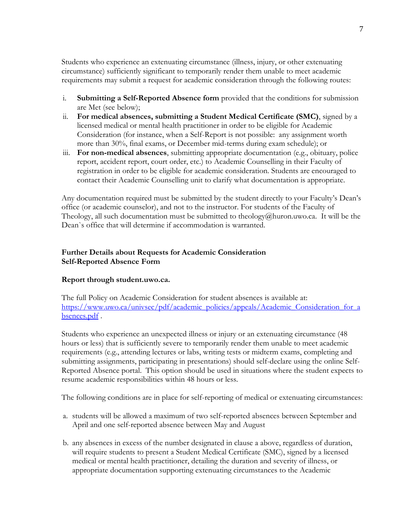Students who experience an extenuating circumstance (illness, injury, or other extenuating circumstance) sufficiently significant to temporarily render them unable to meet academic requirements may submit a request for academic consideration through the following routes:

- i. **Submitting a Self-Reported Absence form** provided that the conditions for submission are Met (see below);
- ii. **For medical absences, submitting a Student Medical Certificate (SMC)**, signed by a licensed medical or mental health practitioner in order to be eligible for Academic Consideration (for instance, when a Self-Report is not possible: any assignment worth more than 30%, final exams, or December mid-terms during exam schedule); or
- iii. **For non-medical absences**, submitting appropriate documentation (e.g., obituary, police report, accident report, court order, etc.) to Academic Counselling in their Faculty of registration in order to be eligible for academic consideration. Students are encouraged to contact their Academic Counselling unit to clarify what documentation is appropriate.

Any documentation required must be submitted by the student directly to your Faculty's Dean's office (or academic counselor), and not to the instructor. For students of the Faculty of Theology, all such documentation must be submitted to theology@huron.uwo.ca. It will be the Dean`s office that will determine if accommodation is warranted.

# **Further Details about Requests for Academic Consideration Self-Reported Absence Form**

## **Report through student.uwo.ca.**

The full Policy on Academic Consideration for student absences is available at: [https://www.uwo.ca/univsec/pdf/academic\\_policies/appeals/Academic\\_Consideration\\_for\\_a](https://www.uwo.ca/univsec/pdf/academic_policies/appeals/Academic_Consideration_for_absences.pdf) [bsences.pdf](https://www.uwo.ca/univsec/pdf/academic_policies/appeals/Academic_Consideration_for_absences.pdf) .

Students who experience an unexpected illness or injury or an extenuating circumstance (48 hours or less) that is sufficiently severe to temporarily render them unable to meet academic requirements (e.g., attending lectures or labs, writing tests or midterm exams, completing and submitting assignments, participating in presentations) should self-declare using the online Self-Reported Absence portal. This option should be used in situations where the student expects to resume academic responsibilities within 48 hours or less.

The following conditions are in place for self-reporting of medical or extenuating circumstances:

- a. students will be allowed a maximum of two self-reported absences between September and April and one self-reported absence between May and August
- b. any absences in excess of the number designated in clause a above, regardless of duration, will require students to present a Student Medical Certificate (SMC), signed by a licensed medical or mental health practitioner, detailing the duration and severity of illness, or appropriate documentation supporting extenuating circumstances to the Academic